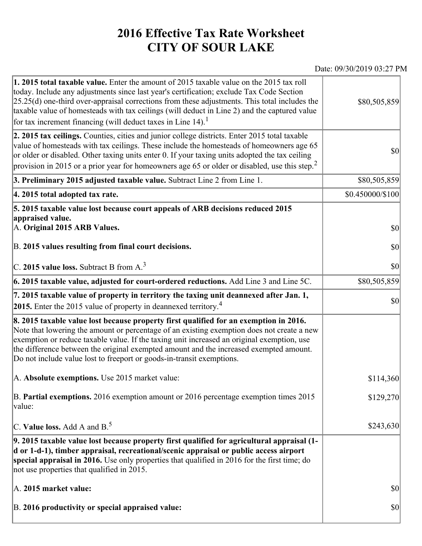## **2016 Effective Tax Rate Worksheet CITY OF SOUR LAKE**

## Date: 09/30/2019 03:27 PM

| 1. 2015 total taxable value. Enter the amount of 2015 taxable value on the 2015 tax roll<br>today. Include any adjustments since last year's certification; exclude Tax Code Section<br>$[25.25(d)$ one-third over-appraisal corrections from these adjustments. This total includes the<br>taxable value of homesteads with tax ceilings (will deduct in Line 2) and the captured value<br>for tax increment financing (will deduct taxes in Line $14$ ). <sup>1</sup> | \$80,505,859        |
|-------------------------------------------------------------------------------------------------------------------------------------------------------------------------------------------------------------------------------------------------------------------------------------------------------------------------------------------------------------------------------------------------------------------------------------------------------------------------|---------------------|
| 2. 2015 tax ceilings. Counties, cities and junior college districts. Enter 2015 total taxable<br>value of homesteads with tax ceilings. These include the homesteads of homeowners age 65<br>or older or disabled. Other taxing units enter 0. If your taxing units adopted the tax ceiling<br>provision in 2015 or a prior year for homeowners age 65 or older or disabled, use this step. <sup>2</sup>                                                                | 30                  |
| 3. Preliminary 2015 adjusted taxable value. Subtract Line 2 from Line 1.                                                                                                                                                                                                                                                                                                                                                                                                | \$80,505,859        |
| 4. 2015 total adopted tax rate.                                                                                                                                                                                                                                                                                                                                                                                                                                         | \$0.450000/\$100    |
| 5. 2015 taxable value lost because court appeals of ARB decisions reduced 2015<br>appraised value.<br>A. Original 2015 ARB Values.<br>B. 2015 values resulting from final court decisions.                                                                                                                                                                                                                                                                              | $ 10\rangle$<br> 30 |
| C. 2015 value loss. Subtract B from $A3$                                                                                                                                                                                                                                                                                                                                                                                                                                | \$0                 |
| 6. 2015 taxable value, adjusted for court-ordered reductions. Add Line 3 and Line 5C.                                                                                                                                                                                                                                                                                                                                                                                   | \$80,505,859        |
| 7. 2015 taxable value of property in territory the taxing unit deannexed after Jan. 1,<br>2015. Enter the 2015 value of property in deannexed territory. <sup>4</sup>                                                                                                                                                                                                                                                                                                   | $ 10\rangle$        |
| 8. 2015 taxable value lost because property first qualified for an exemption in 2016.<br>Note that lowering the amount or percentage of an existing exemption does not create a new<br>exemption or reduce taxable value. If the taxing unit increased an original exemption, use<br>the difference between the original exempted amount and the increased exempted amount.<br>Do not include value lost to freeport or goods-in-transit exemptions.                    |                     |
| A. Absolute exemptions. Use 2015 market value:                                                                                                                                                                                                                                                                                                                                                                                                                          | \$114,360           |
| B. Partial exemptions. 2016 exemption amount or 2016 percentage exemption times 2015<br>value:                                                                                                                                                                                                                                                                                                                                                                          | \$129,270           |
| C. Value loss. Add A and $B^5$ .                                                                                                                                                                                                                                                                                                                                                                                                                                        | \$243,630           |
| 9. 2015 taxable value lost because property first qualified for agricultural appraisal (1-<br>d or 1-d-1), timber appraisal, recreational/scenic appraisal or public access airport<br>special appraisal in 2016. Use only properties that qualified in 2016 for the first time; do<br>not use properties that qualified in 2015.                                                                                                                                       |                     |
| A. 2015 market value:                                                                                                                                                                                                                                                                                                                                                                                                                                                   | $ 10\rangle$        |
| B. 2016 productivity or special appraised value:                                                                                                                                                                                                                                                                                                                                                                                                                        | $ 10\rangle$        |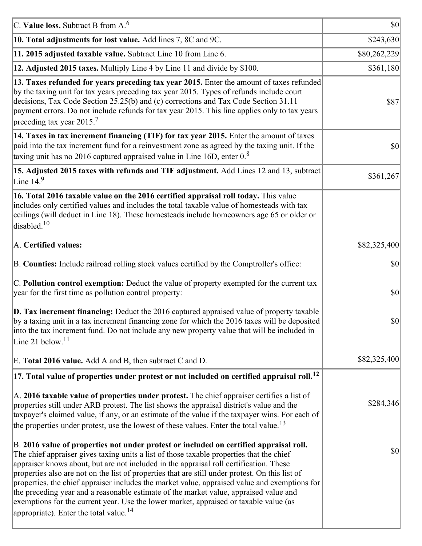| C. Value loss. Subtract B from $A6$                                                                                                                                                                                                                                                                                                                                                                                                                                                                                                                                                                                                                                                                                      | $ 10\rangle$ |
|--------------------------------------------------------------------------------------------------------------------------------------------------------------------------------------------------------------------------------------------------------------------------------------------------------------------------------------------------------------------------------------------------------------------------------------------------------------------------------------------------------------------------------------------------------------------------------------------------------------------------------------------------------------------------------------------------------------------------|--------------|
| 10. Total adjustments for lost value. Add lines 7, 8C and 9C.                                                                                                                                                                                                                                                                                                                                                                                                                                                                                                                                                                                                                                                            | \$243,630    |
| 11. 2015 adjusted taxable value. Subtract Line 10 from Line 6.                                                                                                                                                                                                                                                                                                                                                                                                                                                                                                                                                                                                                                                           | \$80,262,229 |
| 12. Adjusted 2015 taxes. Multiply Line 4 by Line 11 and divide by \$100.                                                                                                                                                                                                                                                                                                                                                                                                                                                                                                                                                                                                                                                 | \$361,180    |
| 13. Taxes refunded for years preceding tax year 2015. Enter the amount of taxes refunded<br>by the taxing unit for tax years preceding tax year 2015. Types of refunds include court<br>decisions, Tax Code Section 25.25(b) and (c) corrections and Tax Code Section 31.11<br>payment errors. Do not include refunds for tax year 2015. This line applies only to tax years<br>preceding tax year 2015. <sup>7</sup>                                                                                                                                                                                                                                                                                                    | \$87         |
| 14. Taxes in tax increment financing (TIF) for tax year 2015. Enter the amount of taxes<br>paid into the tax increment fund for a reinvestment zone as agreed by the taxing unit. If the<br>taxing unit has no 2016 captured appraised value in Line 16D, enter $0.8$                                                                                                                                                                                                                                                                                                                                                                                                                                                    | 30           |
| 15. Adjusted 2015 taxes with refunds and TIF adjustment. Add Lines 12 and 13, subtract<br>Line $149$                                                                                                                                                                                                                                                                                                                                                                                                                                                                                                                                                                                                                     | \$361,267    |
| 16. Total 2016 taxable value on the 2016 certified appraisal roll today. This value<br>includes only certified values and includes the total taxable value of homesteads with tax<br>ceilings (will deduct in Line 18). These homesteads include homeowners age 65 or older or<br>disabled. <sup>10</sup>                                                                                                                                                                                                                                                                                                                                                                                                                |              |
| A. Certified values:                                                                                                                                                                                                                                                                                                                                                                                                                                                                                                                                                                                                                                                                                                     | \$82,325,400 |
| B. Counties: Include railroad rolling stock values certified by the Comptroller's office:                                                                                                                                                                                                                                                                                                                                                                                                                                                                                                                                                                                                                                | \$0          |
| C. Pollution control exemption: Deduct the value of property exempted for the current tax<br>year for the first time as pollution control property:                                                                                                                                                                                                                                                                                                                                                                                                                                                                                                                                                                      | $ 10\rangle$ |
| $\vert$ D. Tax increment financing: Deduct the 2016 captured appraised value of property taxable<br>by a taxing unit in a tax increment financing zone for which the 2016 taxes will be deposited<br>into the tax increment fund. Do not include any new property value that will be included in<br>Line 21 below. $11$                                                                                                                                                                                                                                                                                                                                                                                                  | \$0          |
| E. Total 2016 value. Add A and B, then subtract C and D.                                                                                                                                                                                                                                                                                                                                                                                                                                                                                                                                                                                                                                                                 | \$82,325,400 |
| $ 17$ . Total value of properties under protest or not included on certified appraisal roll. <sup>12</sup>                                                                                                                                                                                                                                                                                                                                                                                                                                                                                                                                                                                                               |              |
| A. 2016 taxable value of properties under protest. The chief appraiser certifies a list of<br>properties still under ARB protest. The list shows the appraisal district's value and the<br>taxpayer's claimed value, if any, or an estimate of the value if the taxpayer wins. For each of<br>the properties under protest, use the lowest of these values. Enter the total value. <sup>13</sup>                                                                                                                                                                                                                                                                                                                         | \$284,346    |
| B. 2016 value of properties not under protest or included on certified appraisal roll.<br>The chief appraiser gives taxing units a list of those taxable properties that the chief<br>appraiser knows about, but are not included in the appraisal roll certification. These<br>properties also are not on the list of properties that are still under protest. On this list of<br>properties, the chief appraiser includes the market value, appraised value and exemptions for<br>the preceding year and a reasonable estimate of the market value, appraised value and<br>exemptions for the current year. Use the lower market, appraised or taxable value (as<br>appropriate). Enter the total value. <sup>14</sup> | \$0          |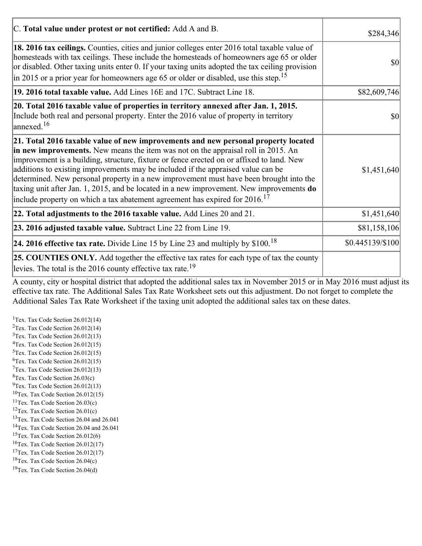| C. Total value under protest or not certified: Add A and B.                                                                                                                                                                                                                                                                                                                                                                                                                                                                                                                                                                                  | \$284,346        |
|----------------------------------------------------------------------------------------------------------------------------------------------------------------------------------------------------------------------------------------------------------------------------------------------------------------------------------------------------------------------------------------------------------------------------------------------------------------------------------------------------------------------------------------------------------------------------------------------------------------------------------------------|------------------|
| 18. 2016 tax ceilings. Counties, cities and junior colleges enter 2016 total taxable value of<br>homesteads with tax ceilings. These include the homesteads of homeowners age 65 or older<br>or disabled. Other taxing units enter 0. If your taxing units adopted the tax ceiling provision<br>in 2015 or a prior year for homeowners age 65 or older or disabled, use this step. <sup>15</sup>                                                                                                                                                                                                                                             | \$0              |
| 19. 2016 total taxable value. Add Lines 16E and 17C. Subtract Line 18.                                                                                                                                                                                                                                                                                                                                                                                                                                                                                                                                                                       | \$82,609,746     |
| 20. Total 2016 taxable value of properties in territory annexed after Jan. 1, 2015.<br>Include both real and personal property. Enter the 2016 value of property in territory<br>$\vert$ annexed. <sup>16</sup>                                                                                                                                                                                                                                                                                                                                                                                                                              | $ 10\rangle$     |
| 21. Total 2016 taxable value of new improvements and new personal property located<br>in new improvements. New means the item was not on the appraisal roll in 2015. An<br>improvement is a building, structure, fixture or fence erected on or affixed to land. New<br>additions to existing improvements may be included if the appraised value can be<br>determined. New personal property in a new improvement must have been brought into the<br>taxing unit after Jan. 1, 2015, and be located in a new improvement. New improvements do<br>include property on which a tax abatement agreement has expired for $2016$ . <sup>17</sup> | \$1,451,640      |
| 22. Total adjustments to the 2016 taxable value. Add Lines 20 and 21.                                                                                                                                                                                                                                                                                                                                                                                                                                                                                                                                                                        | \$1,451,640      |
| 23. 2016 adjusted taxable value. Subtract Line 22 from Line 19.                                                                                                                                                                                                                                                                                                                                                                                                                                                                                                                                                                              | \$81,158,106     |
| <b>24. 2016 effective tax rate.</b> Divide Line 15 by Line 23 and multiply by $$100$ . <sup>18</sup>                                                                                                                                                                                                                                                                                                                                                                                                                                                                                                                                         | \$0.445139/\$100 |
| <b>25. COUNTIES ONLY.</b> Add together the effective tax rates for each type of tax the county<br>levies. The total is the 2016 county effective tax rate. <sup>19</sup>                                                                                                                                                                                                                                                                                                                                                                                                                                                                     |                  |

A county, city or hospital district that adopted the additional sales tax in November 2015 or in May 2016 must adjust its effective tax rate. The Additional Sales Tax Rate Worksheet sets out this adjustment. Do not forget to complete the Additional Sales Tax Rate Worksheet if the taxing unit adopted the additional sales tax on these dates.

<sup>1</sup>Tex. Tax Code Section  $26.012(14)$ <sup>2</sup>Tex. Tax Code Section  $26.012(14)$  $3$ Tex. Tax Code Section 26.012(13)  ${}^{4}$ Tex. Tax Code Section 26.012(15)  $5$ Tex. Tax Code Section 26.012(15)  ${}^{6}$ Tex. Tax Code Section 26.012(15)  $7$ Tex. Tax Code Section 26.012(13)  ${}^{8}$ Tex. Tax Code Section 26.03(c)  $^{9}$ Tex. Tax Code Section 26.012(13)  $10$ Tex. Tax Code Section 26.012(15) <sup>11</sup>Tex. Tax Code Section  $26.03(c)$ <sup>12</sup>Tex. Tax Code Section  $26.01(c)$ <sup>13</sup>Tex. Tax Code Section 26.04 and 26.041 <sup>14</sup>Tex. Tax Code Section 26.04 and 26.041 <sup>15</sup>Tex. Tax Code Section  $26.012(6)$  $16$ Tex. Tax Code Section 26.012(17) <sup>17</sup>Tex. Tax Code Section  $26.012(17)$ <sup>18</sup>Tex. Tax Code Section 26.04(c) <sup>19</sup>Tex. Tax Code Section 26.04(d)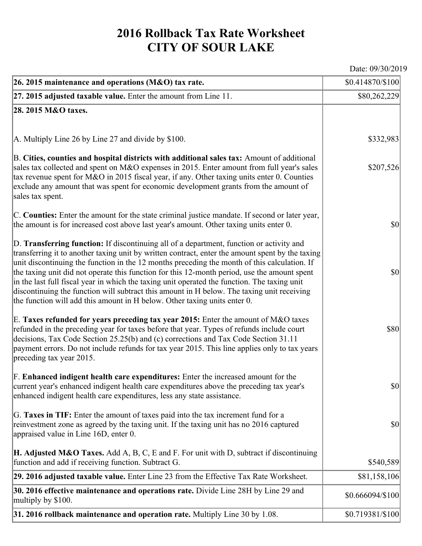## **2016 Rollback Tax Rate Worksheet CITY OF SOUR LAKE**

Date: 09/30/2019

| 26. 2015 maintenance and operations (M&O) tax rate.                                                                                                                                                                                                                                                                                                                                                                                                                                                                                                                                                                                                                     | \$0.414870/\$100 |
|-------------------------------------------------------------------------------------------------------------------------------------------------------------------------------------------------------------------------------------------------------------------------------------------------------------------------------------------------------------------------------------------------------------------------------------------------------------------------------------------------------------------------------------------------------------------------------------------------------------------------------------------------------------------------|------------------|
| $ 27.2015$ adjusted taxable value. Enter the amount from Line 11.                                                                                                                                                                                                                                                                                                                                                                                                                                                                                                                                                                                                       | \$80,262,229     |
| 28. 2015 M&O taxes.                                                                                                                                                                                                                                                                                                                                                                                                                                                                                                                                                                                                                                                     |                  |
|                                                                                                                                                                                                                                                                                                                                                                                                                                                                                                                                                                                                                                                                         |                  |
| A. Multiply Line 26 by Line 27 and divide by \$100.                                                                                                                                                                                                                                                                                                                                                                                                                                                                                                                                                                                                                     | \$332,983        |
| B. Cities, counties and hospital districts with additional sales tax: Amount of additional<br>sales tax collected and spent on M&O expenses in 2015. Enter amount from full year's sales<br>tax revenue spent for M&O in 2015 fiscal year, if any. Other taxing units enter 0. Counties<br>exclude any amount that was spent for economic development grants from the amount of<br>sales tax spent.                                                                                                                                                                                                                                                                     | \$207,526        |
| C. Counties: Enter the amount for the state criminal justice mandate. If second or later year,<br>the amount is for increased cost above last year's amount. Other taxing units enter 0.                                                                                                                                                                                                                                                                                                                                                                                                                                                                                | $ 10\rangle$     |
| D. Transferring function: If discontinuing all of a department, function or activity and<br>transferring it to another taxing unit by written contract, enter the amount spent by the taxing<br>unit discontinuing the function in the 12 months preceding the month of this calculation. If<br>the taxing unit did not operate this function for this 12-month period, use the amount spent<br>in the last full fiscal year in which the taxing unit operated the function. The taxing unit<br>discontinuing the function will subtract this amount in H below. The taxing unit receiving<br>the function will add this amount in H below. Other taxing units enter 0. | $ 10\rangle$     |
| E. Taxes refunded for years preceding tax year 2015: Enter the amount of M&O taxes<br>refunded in the preceding year for taxes before that year. Types of refunds include court<br>decisions, Tax Code Section 25.25(b) and (c) corrections and Tax Code Section 31.11<br>payment errors. Do not include refunds for tax year 2015. This line applies only to tax years<br>preceding tax year 2015.                                                                                                                                                                                                                                                                     | \$80             |
| F. Enhanced indigent health care expenditures: Enter the increased amount for the<br>current year's enhanced indigent health care expenditures above the preceding tax year's<br>enhanced indigent health care expenditures, less any state assistance.                                                                                                                                                                                                                                                                                                                                                                                                                 | <b>\$0</b>       |
| G. Taxes in TIF: Enter the amount of taxes paid into the tax increment fund for a<br>reinvestment zone as agreed by the taxing unit. If the taxing unit has no 2016 captured<br>appraised value in Line 16D, enter 0.                                                                                                                                                                                                                                                                                                                                                                                                                                                   | $ 10\rangle$     |
| <b>H. Adjusted M&amp;O Taxes.</b> Add A, B, C, E and F. For unit with D, subtract if discontinuing<br>function and add if receiving function. Subtract G.                                                                                                                                                                                                                                                                                                                                                                                                                                                                                                               | \$540,589        |
| 29. 2016 adjusted taxable value. Enter Line 23 from the Effective Tax Rate Worksheet.                                                                                                                                                                                                                                                                                                                                                                                                                                                                                                                                                                                   | \$81,158,106     |
| 30. 2016 effective maintenance and operations rate. Divide Line 28H by Line 29 and<br>multiply by \$100.                                                                                                                                                                                                                                                                                                                                                                                                                                                                                                                                                                | \$0.666094/\$100 |
| $31.2016$ rollback maintenance and operation rate. Multiply Line 30 by 1.08.                                                                                                                                                                                                                                                                                                                                                                                                                                                                                                                                                                                            | \$0.719381/\$100 |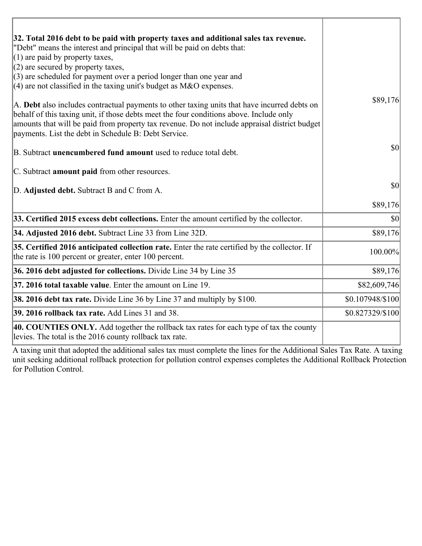| 32. Total 2016 debt to be paid with property taxes and additional sales tax revenue.                                                                                                                                                                                                                                                             |                  |
|--------------------------------------------------------------------------------------------------------------------------------------------------------------------------------------------------------------------------------------------------------------------------------------------------------------------------------------------------|------------------|
| "Debt" means the interest and principal that will be paid on debts that:<br>$(1)$ are paid by property taxes,                                                                                                                                                                                                                                    |                  |
| $(2)$ are secured by property taxes,                                                                                                                                                                                                                                                                                                             |                  |
| $(3)$ are scheduled for payment over a period longer than one year and                                                                                                                                                                                                                                                                           |                  |
| $(4)$ are not classified in the taxing unit's budget as M&O expenses.                                                                                                                                                                                                                                                                            |                  |
| A. Debt also includes contractual payments to other taxing units that have incurred debts on<br>behalf of this taxing unit, if those debts meet the four conditions above. Include only<br>amounts that will be paid from property tax revenue. Do not include appraisal district budget<br>payments. List the debt in Schedule B: Debt Service. | \$89,176         |
| B. Subtract unencumbered fund amount used to reduce total debt.                                                                                                                                                                                                                                                                                  | 30               |
| C. Subtract amount paid from other resources.                                                                                                                                                                                                                                                                                                    |                  |
| D. Adjusted debt. Subtract B and C from A.                                                                                                                                                                                                                                                                                                       | \$0              |
|                                                                                                                                                                                                                                                                                                                                                  | \$89,176         |
| 33. Certified 2015 excess debt collections. Enter the amount certified by the collector.                                                                                                                                                                                                                                                         | $ 10\rangle$     |
| 34. Adjusted 2016 debt. Subtract Line 33 from Line 32D.                                                                                                                                                                                                                                                                                          | \$89,176         |
| 35. Certified 2016 anticipated collection rate. Enter the rate certified by the collector. If<br>the rate is 100 percent or greater, enter 100 percent.                                                                                                                                                                                          | 100.00%          |
| 36. 2016 debt adjusted for collections. Divide Line 34 by Line 35                                                                                                                                                                                                                                                                                | \$89,176         |
| 37. 2016 total taxable value. Enter the amount on Line 19.                                                                                                                                                                                                                                                                                       | \$82,609,746     |
| <b>38. 2016 debt tax rate.</b> Divide Line 36 by Line 37 and multiply by \$100.                                                                                                                                                                                                                                                                  | \$0.107948/\$100 |
| 39. 2016 rollback tax rate. Add Lines 31 and 38.                                                                                                                                                                                                                                                                                                 | \$0.827329/\$100 |
| 40. COUNTIES ONLY. Add together the rollback tax rates for each type of tax the county<br>levies. The total is the 2016 county rollback tax rate.                                                                                                                                                                                                |                  |

A taxing unit that adopted the additional sales tax must complete the lines for the Additional Sales Tax Rate. A taxing unit seeking additional rollback protection for pollution control expenses completes the Additional Rollback Protection for Pollution Control.